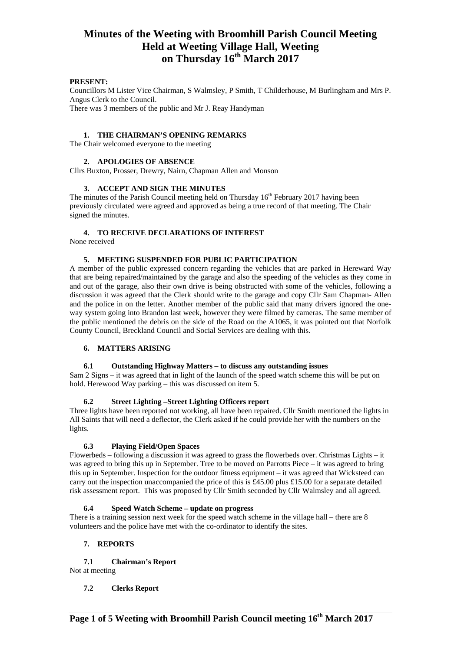## **PRESENT:**

Councillors M Lister Vice Chairman, S Walmsley, P Smith, T Childerhouse, M Burlingham and Mrs P. Angus Clerk to the Council. There was 3 members of the public and Mr J. Reay Handyman

#### **1. THE CHAIRMAN'S OPENING REMARKS**

The Chair welcomed everyone to the meeting

#### **2. APOLOGIES OF ABSENCE**

Cllrs Buxton, Prosser, Drewry, Nairn, Chapman Allen and Monson

#### **3. ACCEPT AND SIGN THE MINUTES**

The minutes of the Parish Council meeting held on Thursday  $16<sup>th</sup>$  February 2017 having been previously circulated were agreed and approved as being a true record of that meeting. The Chair signed the minutes.

## **4. TO RECEIVE DECLARATIONS OF INTEREST**

None received

#### **5. MEETING SUSPENDED FOR PUBLIC PARTICIPATION**

A member of the public expressed concern regarding the vehicles that are parked in Hereward Way that are being repaired/maintained by the garage and also the speeding of the vehicles as they come in and out of the garage, also their own drive is being obstructed with some of the vehicles, following a discussion it was agreed that the Clerk should write to the garage and copy Cllr Sam Chapman- Allen and the police in on the letter. Another member of the public said that many drivers ignored the oneway system going into Brandon last week, however they were filmed by cameras. The same member of the public mentioned the debris on the side of the Road on the A1065, it was pointed out that Norfolk County Council, Breckland Council and Social Services are dealing with this.

#### **6. MATTERS ARISING**

#### **6.1 Outstanding Highway Matters – to discuss any outstanding issues**

Sam 2 Signs – it was agreed that in light of the launch of the speed watch scheme this will be put on hold. Herewood Way parking – this was discussed on item 5.

## **6.2 Street Lighting –Street Lighting Officers report**

Three lights have been reported not working, all have been repaired. Cllr Smith mentioned the lights in All Saints that will need a deflector, the Clerk asked if he could provide her with the numbers on the lights.

#### **6.3 Playing Field/Open Spaces**

Flowerbeds – following a discussion it was agreed to grass the flowerbeds over. Christmas Lights – it was agreed to bring this up in September. Tree to be moved on Parrotts Piece – it was agreed to bring this up in September. Inspection for the outdoor fitness equipment – it was agreed that Wicksteed can carry out the inspection unaccompanied the price of this is £45.00 plus £15.00 for a separate detailed risk assessment report. This was proposed by Cllr Smith seconded by Cllr Walmsley and all agreed.

## **6.4 Speed Watch Scheme – update on progress**

There is a training session next week for the speed watch scheme in the village hall – there are 8 volunteers and the police have met with the co-ordinator to identify the sites.

#### **7. REPORTS**

**7.1 Chairman's Report**

Not at meeting

#### **7.2 Clerks Report**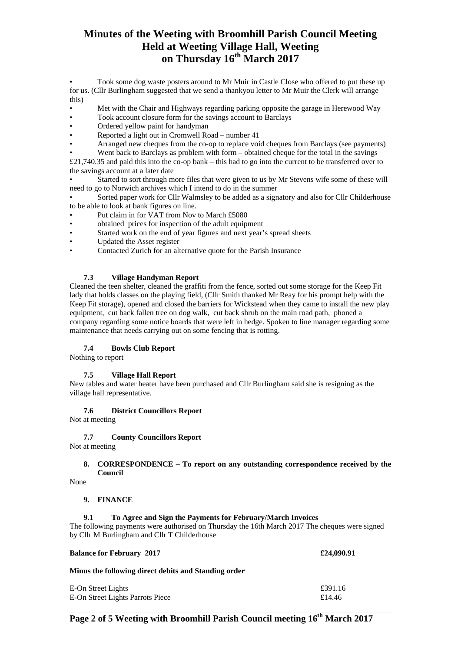**•** Took some dog waste posters around to Mr Muir in Castle Close who offered to put these up for us. (Cllr Burlingham suggested that we send a thankyou letter to Mr Muir the Clerk will arrange this)

- Met with the Chair and Highways regarding parking opposite the garage in Herewood Way
- Took account closure form for the savings account to Barclays
- Ordered yellow paint for handyman
- Reported a light out in Cromwell Road number 41
- Arranged new cheques from the co-op to replace void cheques from Barclays (see payments)

Went back to Barclays as problem with form – obtained cheque for the total in the savings

£21,740.35 and paid this into the co-op bank – this had to go into the current to be transferred over to the savings account at a later date

• Started to sort through more files that were given to us by Mr Stevens wife some of these will need to go to Norwich archives which I intend to do in the summer

• Sorted paper work for Cllr Walmsley to be added as a signatory and also for Cllr Childerhouse to be able to look at bank figures on line.

- Put claim in for VAT from Nov to March £5080
- obtained prices for inspection of the adult equipment
- Started work on the end of year figures and next year's spread sheets
- Updated the Asset register
- Contacted Zurich for an alternative quote for the Parish Insurance

#### **7.3 Village Handyman Report**

Cleaned the teen shelter, cleaned the graffiti from the fence, sorted out some storage for the Keep Fit lady that holds classes on the playing field, (Cllr Smith thanked Mr Reay for his prompt help with the Keep Fit storage), opened and closed the barriers for Wickstead when they came to install the new play equipment, cut back fallen tree on dog walk, cut back shrub on the main road path, phoned a company regarding some notice boards that were left in hedge. Spoken to line manager regarding some maintenance that needs carrying out on some fencing that is rotting.

#### **7.4 Bowls Club Report**

Nothing to report

#### **7.5 Village Hall Report**

New tables and water heater have been purchased and Cllr Burlingham said she is resigning as the village hall representative.

#### **7.6 District Councillors Report**

Not at meeting

## **7.7 County Councillors Report**

Not at meeting

## **8. CORRESPONDENCE – To report on any outstanding correspondence received by the Council**

None

#### **9. FINANCE**

#### **9.1 To Agree and Sign the Payments for February/March Invoices**

The following payments were authorised on Thursday the 16th March 2017 The cheques were signed by Cllr M Burlingham and Cllr T Childerhouse

| <b>Balance for February 2017</b>                     | £24,090.91 |
|------------------------------------------------------|------------|
| Minus the following direct debits and Standing order |            |
| E-On Street Lights                                   | £391.16    |
| E-On Street Lights Parrots Piece                     | £14.46     |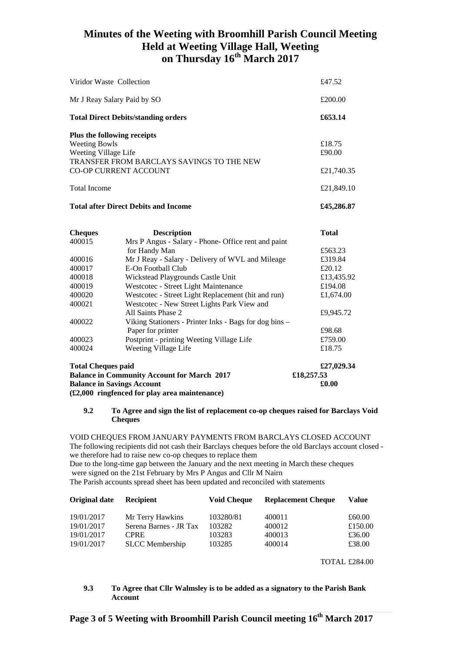|                                                                                                                          | <b>Balance in Community Account for March 2017</b>                                         | £18,257.53           |
|--------------------------------------------------------------------------------------------------------------------------|--------------------------------------------------------------------------------------------|----------------------|
| <b>Total Cheques paid</b>                                                                                                |                                                                                            | £27,029.34           |
| 400024                                                                                                                   | Weeting Village Life                                                                       | £18.75               |
| 400023                                                                                                                   | Postprint - printing Weeting Village Life                                                  | £759.00              |
|                                                                                                                          | Paper for printer                                                                          | £98.68               |
| 400022                                                                                                                   | Viking Stationers - Printer Inks - Bags for dog bins -                                     |                      |
|                                                                                                                          | All Saints Phase 2                                                                         | £9,945.72            |
| 400021                                                                                                                   | Westcotec - New Street Lights Park View and                                                |                      |
| 400019<br>400020                                                                                                         | Westcotec - Street Light Maintenance<br>Westcotec - Street Light Replacement (hit and run) | £194.08<br>£1,674.00 |
| 400018                                                                                                                   | Wickstead Playgrounds Castle Unit                                                          | £13,435.92           |
| 400017                                                                                                                   | E-On Football Club                                                                         | £20.12               |
| 400016                                                                                                                   | Mr J Reay - Salary - Delivery of WVL and Mileage                                           | £319.84              |
|                                                                                                                          | for Handy Man                                                                              | £563.23              |
| 400015                                                                                                                   | Mrs P Angus - Salary - Phone- Office rent and paint                                        |                      |
| <b>Cheques</b>                                                                                                           | <b>Description</b>                                                                         | <b>Total</b>         |
|                                                                                                                          | <b>Total after Direct Debits and Income</b>                                                | £45,286.87           |
| <b>Total Income</b>                                                                                                      |                                                                                            | £21,849.10           |
| <b>CO-OP CURRENT ACCOUNT</b>                                                                                             | £21,740.35                                                                                 |                      |
| Plus the following receipts<br><b>Weeting Bowls</b><br>Weeting Village Life<br>TRANSFER FROM BARCLAYS SAVINGS TO THE NEW | £18.75<br>£90.00                                                                           |                      |
|                                                                                                                          | <b>Total Direct Debits/standing orders</b>                                                 | £653.14              |
| Mr J Reay Salary Paid by SO                                                                                              | £200.00                                                                                    |                      |
| Viridor Waste Collection                                                                                                 | £47.52                                                                                     |                      |
|                                                                                                                          |                                                                                            |                      |

**Balance in Savings Account £0.00** 

**(£2,000 ringfenced for play area maintenance)** 

# **9.2 To Agree and sign the list of replacement co-op cheques raised for Barclays Void Cheques**

VOID CHEQUES FROM JANUARY PAYMENTS FROM BARCLAYS CLOSED ACCOUNT The following recipients did not cash their Barclays cheques before the old Barclays account closed we therefore had to raise new co-op cheques to replace them Due to the long-time gap between the January and the next meeting in March these cheques

were signed on the 21st February by Mrs P Angus and Cllr M Nairn

The Parish accounts spread sheet has been updated and reconciled with statements

| Original date | <b>Recipient</b>       | <b>Void Cheque</b> | <b>Replacement Cheque</b> | Value   |
|---------------|------------------------|--------------------|---------------------------|---------|
| 19/01/2017    | Mr Terry Hawkins       | 103280/81          | 400011                    | £60.00  |
| 19/01/2017    | Serena Barnes - JR Tax | 103282             | 400012                    | £150.00 |
| 19/01/2017    | <b>CPRE</b>            | 103283             | 400013                    | £36.00  |
| 19/01/2017    | <b>SLCC</b> Membership | 103285             | 400014                    | £38.00  |

TOTAL £284.00

# **9.3 To Agree that Cllr Walmsley is to be added as a signatory to the Parish Bank Account**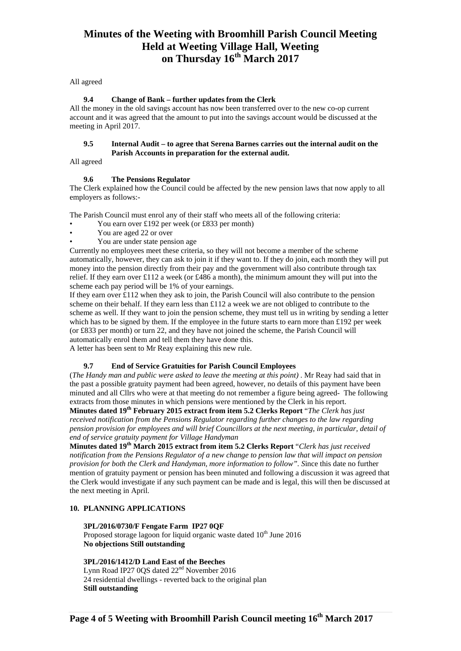All agreed

## **9.4 Change of Bank – further updates from the Clerk**

All the money in the old savings account has now been transferred over to the new co-op current account and it was agreed that the amount to put into the savings account would be discussed at the meeting in April 2017.

## **9.5 Internal Audit – to agree that Serena Barnes carries out the internal audit on the Parish Accounts in preparation for the external audit.**

All agreed

## **9.6 The Pensions Regulator**

The Clerk explained how the Council could be affected by the new pension laws that now apply to all employers as follows:-

The Parish Council must enrol any of their staff who meets all of the following criteria:

- You earn over £192 per week (or £833 per month)
- You are aged 22 or over
- You are under state pension age

Currently no employees meet these criteria, so they will not become a member of the scheme automatically, however, they can ask to join it if they want to. If they do join, each month they will put money into the pension directly from their pay and the government will also contribute through tax relief. If they earn over £112 a week (or £486 a month), the minimum amount they will put into the scheme each pay period will be 1% of your earnings.

If they earn over  $\pounds$ 112 when they ask to join, the Parish Council will also contribute to the pension scheme on their behalf. If they earn less than £112 a week we are not obliged to contribute to the scheme as well. If they want to join the pension scheme, they must tell us in writing by sending a letter which has to be signed by them. If the employee in the future starts to earn more than £192 per week (or £833 per month) or turn 22, and they have not joined the scheme, the Parish Council will automatically enrol them and tell them they have done this. A letter has been sent to Mr Reay explaining this new rule.

## **9.7 End of Service Gratuities for Parish Council Employees**

(*The Handy man and public were asked to leave the meeting at this point)* . Mr Reay had said that in the past a possible gratuity payment had been agreed, however, no details of this payment have been minuted and all Cllrs who were at that meeting do not remember a figure being agreed- The following extracts from those minutes in which pensions were mentioned by the Clerk in his report.

**Minutes dated 19th February 2015 extract from item 5.2 Clerks Report** "*The Clerk has just received notification from the Pensions Regulator regarding further changes to the law regarding pension provision for employees and will brief Councillors at the next meeting, in particular, detail of end of service gratuity payment for Village Handyman* 

**Minutes dated 19th March 2015 extract from item 5.2 Clerks Report** "*Clerk has just received notification from the Pensions Regulator of a new change to pension law that will impact on pension provision for both the Clerk and Handyman, more information to follow". S*ince this date no further mention of gratuity payment or pension has been minuted and following a discussion it was agreed that the Clerk would investigate if any such payment can be made and is legal, this will then be discussed at the next meeting in April.

## **10. PLANNING APPLICATIONS**

## **3PL/2016/0730/F Fengate Farm IP27 0QF**

Proposed storage lagoon for liquid organic waste dated  $10<sup>th</sup>$  June 2016 **No objections Still outstanding** 

## **3PL/2016/1412/D Land East of the Beeches**

Lynn Road IP27 0QS dated 22nd November 2016 24 residential dwellings - reverted back to the original plan **Still outstanding**